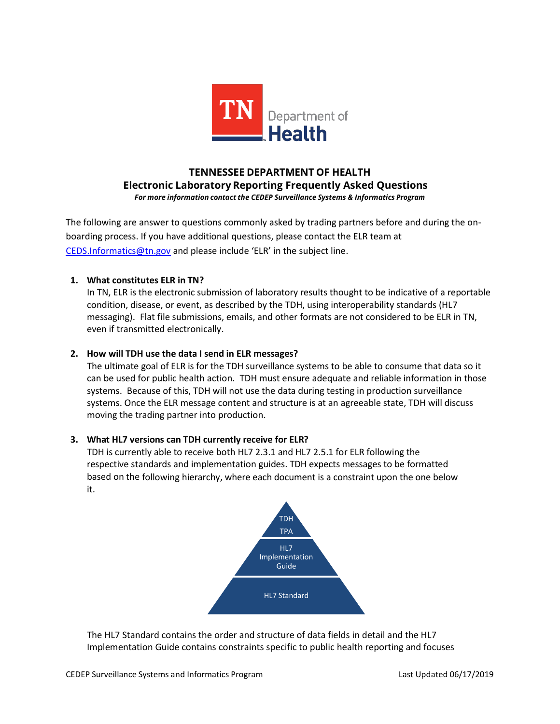

# **TENNESSEE DEPARTMENT OF HEALTH Electronic Laboratory Reporting Frequently Asked Questions** *For more information contact the CEDEP Surveillance Systems & Informatics Program*

The following are answer to questions commonly asked by trading partners before and during the onboarding process. If you have additional questions, please contact the ELR team at [CEDS.Informatics@tn.gov](mailto:CEDS.Informatics@tn.gov) and please include 'ELR' in the subject line.

### **1. What constitutes ELR in TN?**

In TN, ELR is the electronic submission of laboratory results thought to be indicative of a reportable condition, disease, or event, as described by the TDH, using interoperability standards (HL7 messaging). Flat file submissions, emails, and other formats are not considered to be ELR in TN, even if transmitted electronically.

## **2. How will TDH use the data I send in ELR messages?**

The ultimate goal of ELR is for the TDH surveillance systems to be able to consume that data so it can be used for public health action. TDH must ensure adequate and reliable information in those systems. Because of this, TDH will not use the data during testing in production surveillance systems. Once the ELR message content and structure is at an agreeable state, TDH will discuss moving the trading partner into production.

### **3. What HL7 versions can TDH currently receive for ELR?**

TDH is currently able to receive both HL7 2.3.1 and HL7 2.5.1 for ELR following the respective standards and implementation guides. TDH expects messages to be formatted based on the following hierarchy, where each document is a constraint upon the one below it.



The HL7 Standard contains the order and structure of data fields in detail and the HL7 Implementation Guide contains constraints specific to public health reporting and focuses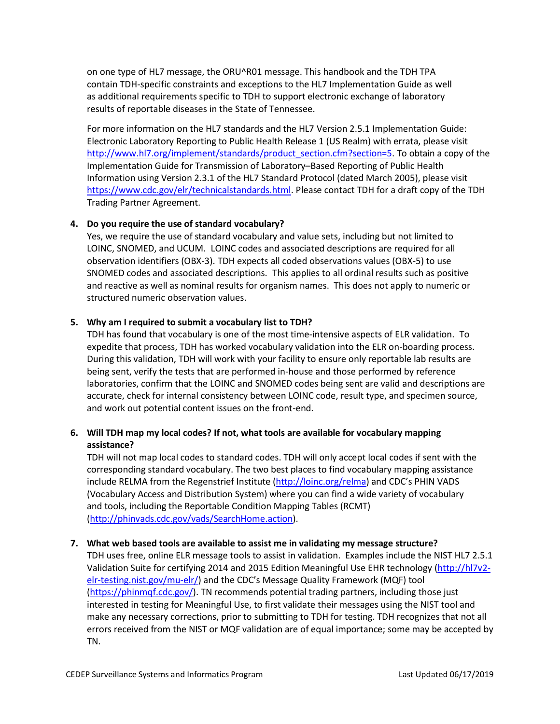on one type of HL7 message, the ORU^R01 message. This handbook and the TDH TPA contain TDH-specific constraints and exceptions to the HL7 Implementation Guide as well as additional requirements specific to TDH to support electronic exchange of laboratory results of reportable diseases in the State of Tennessee.

For more information on the HL7 standards and the HL7 Version 2.5.1 Implementation Guide: Electronic Laboratory Reporting to Public Health Release 1 (US Realm) with errata, please visit [http://www.hl7.org/implement/standards/product\\_section.cfm?section=5.](http://www.hl7.org/implement/standards/product_section.cfm?section=5) To obtain a copy of the Implementation Guide for Transmission of Laboratory–Based Reporting of Public Health Information using Version 2.3.1 of the HL7 Standard Protocol (dated March 2005), please visit [https://www.cdc.gov/elr/technicalstandards.html.](https://www.cdc.gov/elr/technicalstandards.html) Please contact TDH for a draft copy of the TDH Trading Partner Agreement.

### **4. Do you require the use of standard vocabulary?**

Yes, we require the use of standard vocabulary and value sets, including but not limited to LOINC, SNOMED, and UCUM. LOINC codes and associated descriptions are required for all observation identifiers (OBX-3). TDH expects all coded observations values (OBX-5) to use SNOMED codes and associated descriptions. This applies to all ordinal results such as positive and reactive as well as nominal results for organism names. This does not apply to numeric or structured numeric observation values.

## **5. Why am I required to submit a vocabulary list to TDH?**

TDH has found that vocabulary is one of the most time-intensive aspects of ELR validation. To expedite that process, TDH has worked vocabulary validation into the ELR on-boarding process. During this validation, TDH will work with your facility to ensure only reportable lab results are being sent, verify the tests that are performed in-house and those performed by reference laboratories, confirm that the LOINC and SNOMED codes being sent are valid and descriptions are accurate, check for internal consistency between LOINC code, result type, and specimen source, and work out potential content issues on the front-end.

# **6. Will TDH map my local codes? If not, what tools are available for vocabulary mapping assistance?**

TDH will not map local codes to standard codes. TDH will only accept local codes if sent with the corresponding standard vocabulary. The two best places to find vocabulary mapping assistance include RELMA from the Regenstrief Institute [\(http://loinc.org/relma\)](http://loinc.org/relma) and CDC's PHIN VADS (Vocabulary Access and Distribution System) where you can find a wide variety of vocabulary and tools, including the Reportable Condition Mapping Tables (RCMT) [\(http://phinvads.cdc.gov/vads/SearchHome.action\)](http://phinvads.cdc.gov/vads/SearchHome.action).

### **7. What web based tools are available to assist me in validating my message structure?**

TDH uses free, online ELR message tools to assist in validation. Examples include the NIST HL7 2.5.1 Validation Suite for certifying 2014 and 2015 Edition Meaningful Use EHR technology [\(http://hl7v2](http://hl7v2-elr-testing.nist.gov/mu-elr/) [elr-testing.nist.gov/mu-elr/\)](http://hl7v2-elr-testing.nist.gov/mu-elr/) and the CDC's Message Quality Framework (MQF) tool [\(https://phinmqf.cdc.gov/\)](https://phinmqf.cdc.gov/). TN recommends potential trading partners, including those just interested in testing for Meaningful Use, to first validate their messages using the NIST tool and make any necessary corrections, prior to submitting to TDH for testing. TDH recognizes that not all errors received from the NIST or MQF validation are of equal importance; some may be accepted by TN.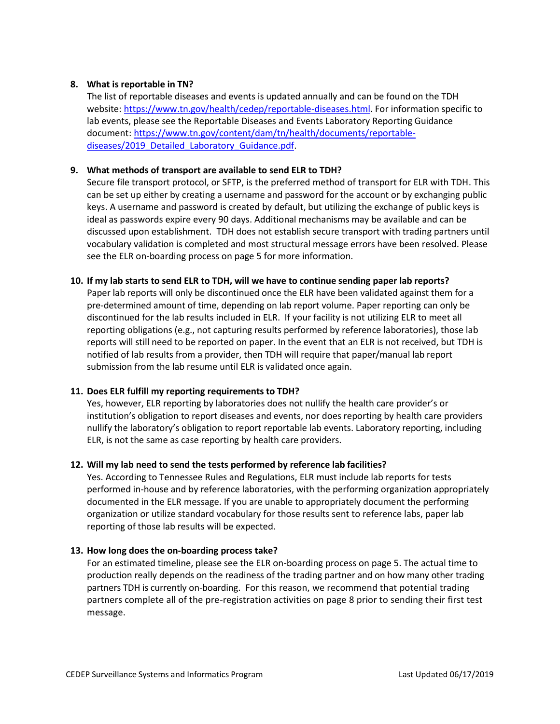#### **8. What is reportable in TN?**

The list of reportable diseases and events is updated annually and can be found on the TDH website: [https://www.tn.gov/health/cedep/reportable-diseases.html.](https://www.tn.gov/health/cedep/reportable-diseases.html) For information specific to lab events, please see the Reportable Diseases and Events Laboratory Reporting Guidance document: [https://www.tn.gov/content/dam/tn/health/documents/reportable](https://www.tn.gov/content/dam/tn/health/documents/reportable-diseases/2019_Detailed_Laboratory_Guidance.pdf)diseases/2019 Detailed Laboratory Guidance.pdf.

#### **9. What methods of transport are available to send ELR to TDH?**

Secure file transport protocol, or SFTP, is the preferred method of transport for ELR with TDH. This can be set up either by creating a username and password for the account or by exchanging public keys. A username and password is created by default, but utilizing the exchange of public keys is ideal as passwords expire every 90 days. Additional mechanisms may be available and can be discussed upon establishment. TDH does not establish secure transport with trading partners until vocabulary validation is completed and most structural message errors have been resolved. Please see the ELR on-boarding process on page 5 for more information.

#### **10. If my lab starts to send ELR to TDH, will we have to continue sending paper lab reports?**

Paper lab reports will only be discontinued once the ELR have been validated against them for a pre-determined amount of time, depending on lab report volume. Paper reporting can only be discontinued for the lab results included in ELR. If your facility is not utilizing ELR to meet all reporting obligations (e.g., not capturing results performed by reference laboratories), those lab reports will still need to be reported on paper. In the event that an ELR is not received, but TDH is notified of lab results from a provider, then TDH will require that paper/manual lab report submission from the lab resume until ELR is validated once again.

### **11. Does ELR fulfill my reporting requirements to TDH?**

Yes, however, ELR reporting by laboratories does not nullify the health care provider's or institution's obligation to report diseases and events, nor does reporting by health care providers nullify the laboratory's obligation to report reportable lab events. Laboratory reporting, including ELR, is not the same as case reporting by health care providers.

### **12. Will my lab need to send the tests performed by reference lab facilities?**

Yes. According to Tennessee Rules and Regulations, ELR must include lab reports for tests performed in-house and by reference laboratories, with the performing organization appropriately documented in the ELR message. If you are unable to appropriately document the performing organization or utilize standard vocabulary for those results sent to reference labs, paper lab reporting of those lab results will be expected.

### **13. How long does the on-boarding process take?**

For an estimated timeline, please see the ELR on-boarding process on page 5. The actual time to production really depends on the readiness of the trading partner and on how many other trading partners TDH is currently on-boarding. For this reason, we recommend that potential trading partners complete all of the pre-registration activities on page 8 prior to sending their first test message.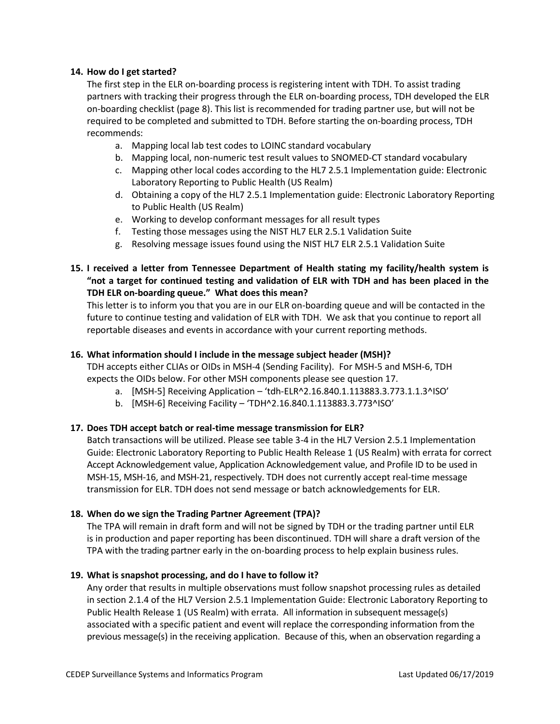#### **14. How do I get started?**

The first step in the ELR on-boarding process is registering intent with TDH. To assist trading partners with tracking their progress through the ELR on-boarding process, TDH developed the ELR on-boarding checklist (page 8). This list is recommended for trading partner use, but will not be required to be completed and submitted to TDH. Before starting the on-boarding process, TDH recommends:

- a. Mapping local lab test codes to LOINC standard vocabulary
- b. Mapping local, non-numeric test result values to SNOMED-CT standard vocabulary
- c. Mapping other local codes according to the HL7 2.5.1 Implementation guide: Electronic Laboratory Reporting to Public Health (US Realm)
- d. Obtaining a copy of the HL7 2.5.1 Implementation guide: Electronic Laboratory Reporting to Public Health (US Realm)
- e. Working to develop conformant messages for all result types
- f. Testing those messages using the NIST HL7 ELR 2.5.1 Validation Suite
- g. Resolving message issues found using the NIST HL7 ELR 2.5.1 Validation Suite

# **15. I received a letter from Tennessee Department of Health stating my facility/health system is "not a target for continued testing and validation of ELR with TDH and has been placed in the TDH ELR on-boarding queue." What does this mean?**

This letter is to inform you that you are in our ELR on-boarding queue and will be contacted in the future to continue testing and validation of ELR with TDH. We ask that you continue to report all reportable diseases and events in accordance with your current reporting methods.

### **16. What information should I include in the message subject header (MSH)?**

TDH accepts either CLIAs or OIDs in MSH-4 (Sending Facility). For MSH-5 and MSH-6, TDH expects the OIDs below. For other MSH components please see question 17.

- a. [MSH-5] Receiving Application 'tdh-ELR^2.16.840.1.113883.3.773.1.1.3^ISO'
- b. [MSH-6] Receiving Facility 'TDH^2.16.840.1.113883.3.773^ISO'

### **17. Does TDH accept batch or real-time message transmission for ELR?**

Batch transactions will be utilized. Please see table 3-4 in the HL7 Version 2.5.1 Implementation Guide: Electronic Laboratory Reporting to Public Health Release 1 (US Realm) with errata for correct Accept Acknowledgement value, Application Acknowledgement value, and Profile ID to be used in MSH-15, MSH-16, and MSH-21, respectively. TDH does not currently accept real-time message transmission for ELR. TDH does not send message or batch acknowledgements for ELR.

### **18. When do we sign the Trading Partner Agreement (TPA)?**

The TPA will remain in draft form and will not be signed by TDH or the trading partner until ELR is in production and paper reporting has been discontinued. TDH will share a draft version of the TPA with the trading partner early in the on-boarding process to help explain business rules.

### **19. What is snapshot processing, and do I have to follow it?**

Any order that results in multiple observations must follow snapshot processing rules as detailed in section 2.1.4 of the HL7 Version 2.5.1 Implementation Guide: Electronic Laboratory Reporting to Public Health Release 1 (US Realm) with errata. All information in subsequent message(s) associated with a specific patient and event will replace the corresponding information from the previous message(s) in the receiving application. Because of this, when an observation regarding a